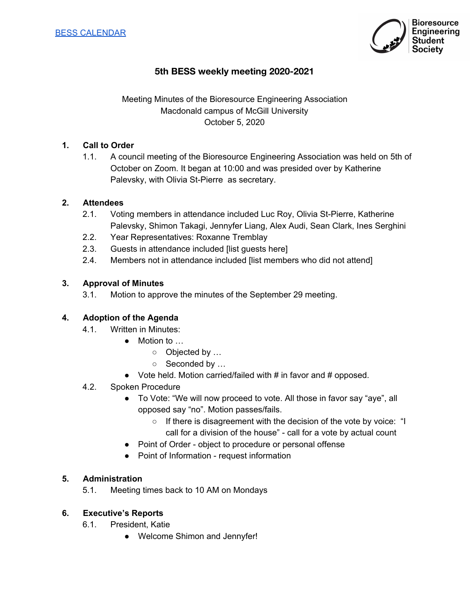

# **5th BESS weekly meeting 2020-2021**

## Meeting Minutes of the Bioresource Engineering Association Macdonald campus of McGill University October 5, 2020

#### **1. Call to Order**

1.1. A council meeting of the Bioresource Engineering Association was held on 5th of October on Zoom. It began at 10:00 and was presided over by Katherine Palevsky, with Olivia St-Pierre as secretary.

#### **2. Attendees**

- 2.1. Voting members in attendance included Luc Roy, Olivia St-Pierre, Katherine Palevsky, Shimon Takagi, Jennyfer Liang, Alex Audi, Sean Clark, Ines Serghini
- 2.2. Year Representatives: Roxanne Tremblay
- 2.3. Guests in attendance included [list guests here]
- 2.4. Members not in attendance included [list members who did not attend]

#### **3. Approval of Minutes**

3.1. Motion to approve the minutes of the September 29 meeting.

#### **4. Adoption of the Agenda**

- 4.1. Written in Minutes:
	- Motion to …
		- $\circ$  Objected by ...
			- o Seconded by ...
	- Vote held. Motion carried/failed with # in favor and # opposed.
- 4.2. Spoken Procedure
	- To Vote: "We will now proceed to vote. All those in favor say "aye", all opposed say "no". Motion passes/fails.
		- If there is disagreement with the decision of the vote by voice: "I call for a division of the house" - call for a vote by actual count
	- Point of Order object to procedure or personal offense
	- Point of Information request information

#### **5. Administration**

5.1. Meeting times back to 10 AM on Mondays

#### **6. Executive's Reports**

- 6.1. President, Katie
	- Welcome Shimon and Jennyfer!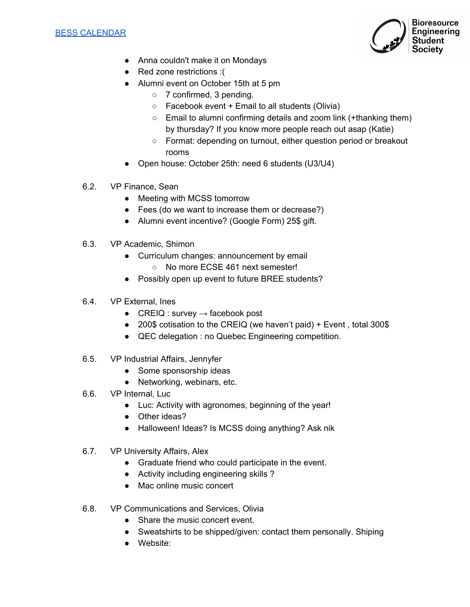

- Anna couldn't make it on Mondays
- Red zone restrictions :(
- Alumni event on October 15th at 5 pm
	- 7 confirmed, 3 pending.
	- $\circ$  Facebook event + Email to all students (Olivia)
	- Email to alumni confirming details and zoom link (+thanking them) by thursday? If you know more people reach out asap (Katie)
	- Format: depending on turnout, either question period or breakout rooms
- Open house: October 25th: need 6 students (U3/U4)
- 6.2. VP Finance, Sean
	- Meeting with MCSS tomorrow
	- Fees (do we want to increase them or decrease?)
	- Alumni event incentive? (Google Form) 25\$ gift.
- 6.3. VP Academic, Shimon
	- Curriculum changes: announcement by email
		- No more ECSE 461 next semester!
	- Possibly open up event to future BREE students?
- 6.4. VP External, Ines
	- CREIQ : survey  $\rightarrow$  facebook post
	- 200\$ cotisation to the CREIQ (we haven't paid) + Event, total 300\$
	- QEC delegation : no Quebec Engineering competition.
- 6.5. VP Industrial Affairs, Jennyfer
	- Some sponsorship ideas
	- Networking, webinars, etc.
- 6.6. VP Internal, Luc
	- Luc: Activity with agronomes, beginning of the year!
	- Other ideas?
	- Halloween! Ideas? Is MCSS doing anything? Ask nik
- 6.7. VP University Affairs, Alex
	- Graduate friend who could participate in the event.
	- Activity including engineering skills ?
	- Mac online music concert
- 6.8. VP Communications and Services, Olivia
	- Share the music concert event.
	- Sweatshirts to be shipped/given: contact them personally. Shiping
	- Website: